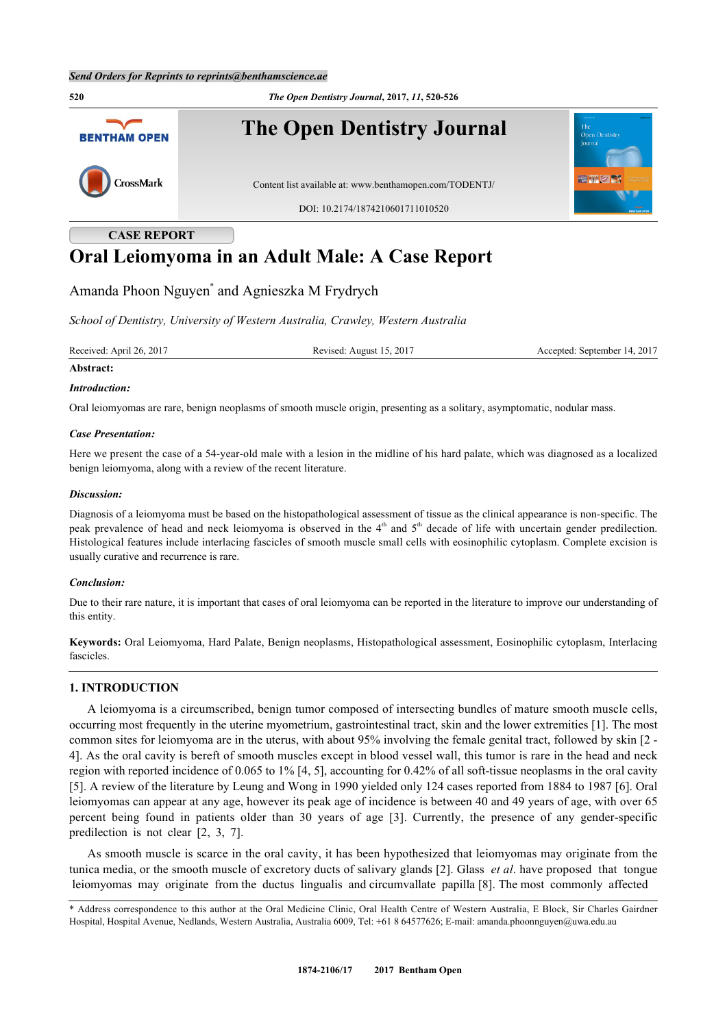

**CASE REPORT**

# **Oral Leiomyoma in an Adult Male: A Case Report**

# Amanda Phoon Nguyen[\\*](#page-0-0) and Agnieszka M Frydrych

*School of Dentistry, University of Western Australia, Crawley, Western Australia*

Received: April 26, 2017 Revised: August 15, 2017 Accepted: September 14, 2017

# **Abstract:**

#### *Introduction:*

Oral leiomyomas are rare, benign neoplasms of smooth muscle origin, presenting as a solitary, asymptomatic, nodular mass.

#### *Case Presentation:*

Here we present the case of a 54-year-old male with a lesion in the midline of his hard palate, which was diagnosed as a localized benign leiomyoma, along with a review of the recent literature.

#### *Discussion:*

Diagnosis of a leiomyoma must be based on the histopathological assessment of tissue as the clinical appearance is non-specific. The peak prevalence of head and neck leiomyoma is observed in the  $4<sup>th</sup>$  and  $5<sup>th</sup>$  decade of life with uncertain gender predilection. Histological features include interlacing fascicles of smooth muscle small cells with eosinophilic cytoplasm. Complete excision is usually curative and recurrence is rare.

## *Conclusion:*

Due to their rare nature, it is important that cases of oral leiomyoma can be reported in the literature to improve our understanding of this entity.

**Keywords:** Oral Leiomyoma, Hard Palate, Benign neoplasms, Histopathological assessment, Eosinophilic cytoplasm, Interlacing fascicles.

## **1. INTRODUCTION**

A leiomyoma is a circumscribed, benign tumor composed of intersecting bundles of mature smooth muscle cells, occurring most frequently in the uterine myometrium, gastrointestinal tract, skin and the lower extremities [[1\]](#page-5-0). The most common sites for leiomyoma are in the uterus, with about 95% involving the female genital tract, followed by skin [[2](#page-5-1) - [4\]](#page-5-2). As the oral cavity is bereft of smooth muscles except in blood vessel wall, this tumor is rare in the head and neck region with reported incidence of 0.065 to 1% [\[4](#page-5-2), [5](#page-5-3)], accounting for 0.42% of all soft-tissue neoplasms in the oral cavity [\[5](#page-5-3)]. A review of the literature by Leung and Wong in 1990 yielded only 124 cases reported from 1884 to 1987 [\[6](#page-5-4)]. Oral leiomyomas can appear at any age, however its peak age of incidence is between 40 and 49 years of age, with over 65 percent being found in patients older than 30 years of age [\[3](#page-5-5)]. Currently, the presence of any gender-specific predilection is not clear[[2,](#page-5-1) [3,](#page-5-5) [7\]](#page-5-6).

As smooth muscle is scarce in the oral cavity, it has been hypothesized that leiomyomas may originate from the tunica media, or the smooth muscle of excretory ducts of salivary glands [\[2\]](#page-5-1). Glass *et al*. have proposed that tongue leiomyomas may originate from the ductus lingualis and circumvallate papilla [[8\]](#page-5-7). The most commonly affected

<span id="page-0-0"></span>\* Address correspondence to this author at the Oral Medicine Clinic, Oral Health Centre of Western Australia, E Block, Sir Charles Gairdner Hospital, Hospital Avenue, Nedlands, Western Australia, Australia 6009, Tel: +61 8 64577626; E-mail: [amanda.phoonnguyen@uwa.edu.au](mailto:amanda.phoonnguyen@uwa.edu.au)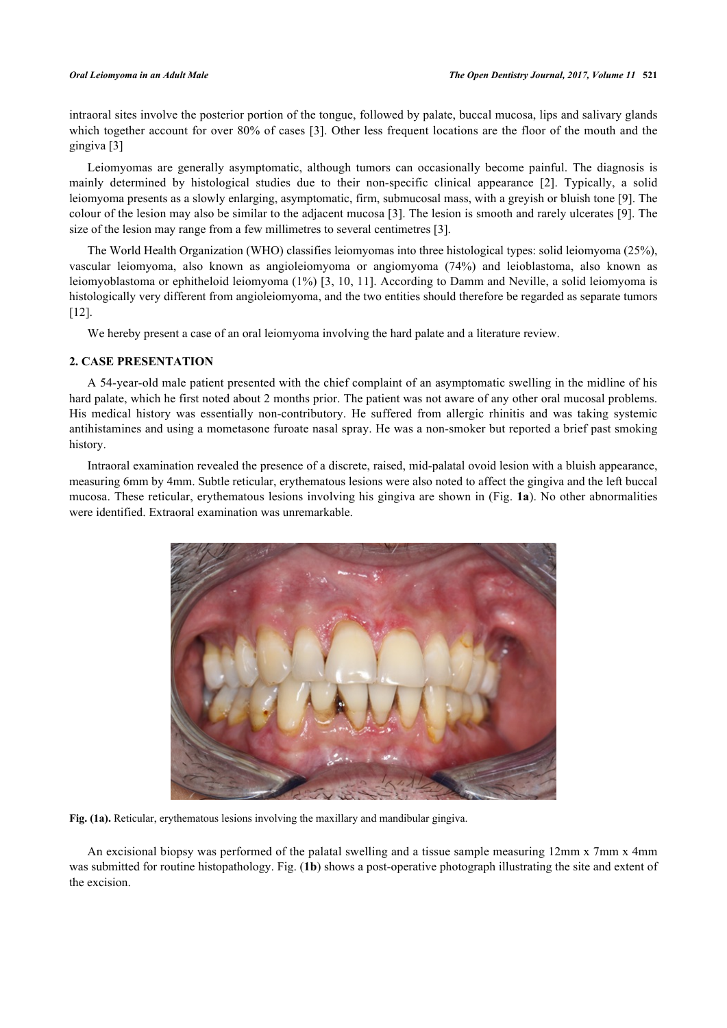intraoral sites involve the posterior portion of the tongue, followed by palate, buccal mucosa, lips and salivary glands which together account for over 80% of cases [[3](#page-5-5)]. Other less frequent locations are the floor of the mouth and the gingiva [[3\]](#page-5-5)

Leiomyomas are generally asymptomatic, although tumors can occasionally become painful. The diagnosis is mainly determined by histological studies due to their non-specific clinical appearance[[2\]](#page-5-1). Typically, a solid leiomyoma presents as a slowly enlarging, asymptomatic, firm, submucosal mass, with a greyish or bluish tone [[9\]](#page-6-0). The colour of the lesion may also be similar to the adjacent mucosa [\[3](#page-5-5)]. The lesion is smooth and rarely ulcerates [[9](#page-6-0)]. The size of the lesion may range from a few millimetres to several centimetres [[3\]](#page-5-5).

The World Health Organization (WHO) classifies leiomyomas into three histological types: solid leiomyoma (25%), vascular leiomyoma, also known as angioleiomyoma or angiomyoma (74%) and leioblastoma, also known as leiomyoblastoma or ephitheloid leiomyoma (1%) [\[3](#page-5-5), [10,](#page-6-1) [11\]](#page-6-2). According to Damm and Neville, a solid leiomyoma is histologically very different from angioleiomyoma, and the two entities should therefore be regarded as separate tumors [\[12](#page-6-3)].

We hereby present a case of an oral leiomyoma involving the hard palate and a literature review.

# **2. CASE PRESENTATION**

A 54-year-old male patient presented with the chief complaint of an asymptomatic swelling in the midline of his hard palate, which he first noted about 2 months prior. The patient was not aware of any other oral mucosal problems. His medical history was essentially non-contributory. He suffered from allergic rhinitis and was taking systemic antihistamines and using a mometasone furoate nasal spray. He was a non-smoker but reported a brief past smoking history.

Intraoral examination revealed the presence of a discrete, raised, mid-palatal ovoid lesion with a bluish appearance, measuring 6mm by 4mm. Subtle reticular, erythematous lesions were also noted to affect the gingiva and the left buccal mucosa. These reticular, erythematous lesions involving his gingiva are shown in (Fig. **1a**). No other abnormalities were identified. Extraoral examination was unremarkable.



**Fig. (1a).** Reticular, erythematous lesions involving the maxillary and mandibular gingiva.

An excisional biopsy was performed of the palatal swelling and a tissue sample measuring 12mm x 7mm x 4mm was submitted for routine histopathology. Fig. (**1b**) shows a post-operative photograph illustrating the site and extent of the excision.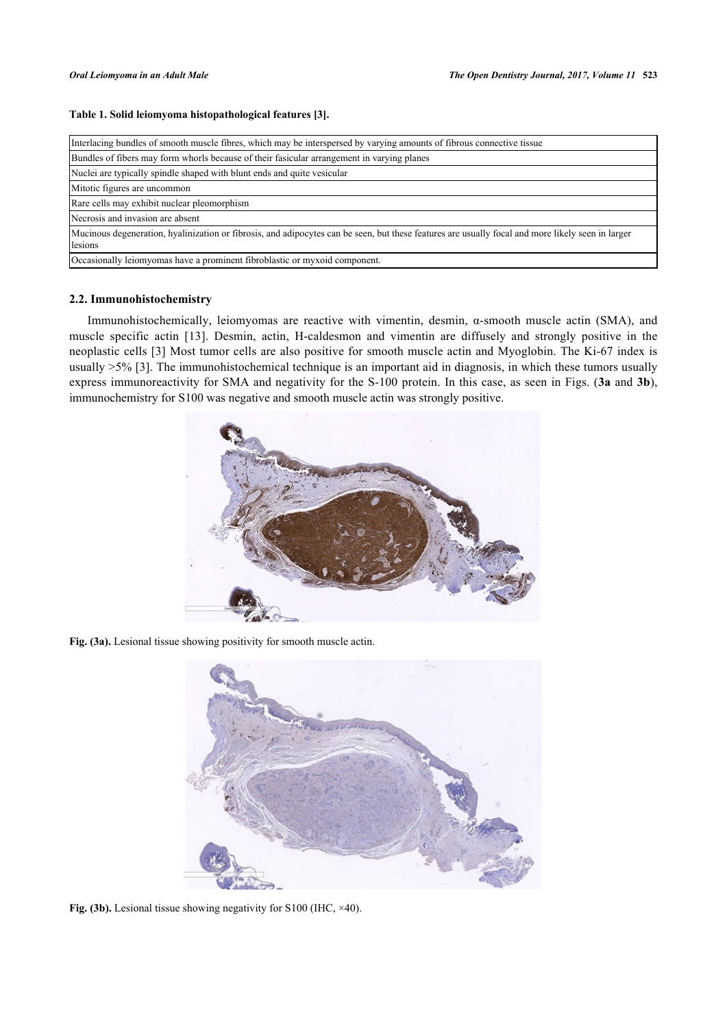# **Table 1. Solid leiomyoma histopathological features [[3](#page-5-5)].**

| Interlacing bundles of smooth muscle fibres, which may be interspersed by varying amounts of fibrous connective tissue                                       |  |  |  |  |  |
|--------------------------------------------------------------------------------------------------------------------------------------------------------------|--|--|--|--|--|
| Bundles of fibers may form whorls because of their fasicular arrangement in varying planes                                                                   |  |  |  |  |  |
| Nuclei are typically spindle shaped with blunt ends and quite vesicular                                                                                      |  |  |  |  |  |
| Mitotic figures are uncommon                                                                                                                                 |  |  |  |  |  |
| Rare cells may exhibit nuclear pleomorphism                                                                                                                  |  |  |  |  |  |
| Necrosis and invasion are absent                                                                                                                             |  |  |  |  |  |
| Mucinous degeneration, hyalinization or fibrosis, and adipocytes can be seen, but these features are usually focal and more likely seen in larger<br>lesions |  |  |  |  |  |
| Occasionally leiomyomas have a prominent fibroblastic or myxoid component.                                                                                   |  |  |  |  |  |

# **2.2. Immunohistochemistry**

<span id="page-3-0"></span>Immunohistochemically, leiomyomas are reactive with vimentin, desmin, α-smooth muscle actin (SMA), and muscle specific actin[[13\]](#page-6-4). Desmin, actin, H-caldesmon and vimentin are diffusely and strongly positive in the neoplastic cells [\[3](#page-5-5)] Most tumor cells are also positive for smooth muscle actin and Myoglobin. The Ki-67 index is usually >5% [\[3](#page-5-5)]. The immunohistochemical technique is an important aid in diagnosis, in which these tumors usually express immunoreactivity for SMA and negativity for the S-100 protein. In this case, as seen in Figs. (**[3a](#page-3-0)** and **[3b](#page-3-1)**), immunochemistry for S100 was negative and smooth muscle actin was strongly positive.



**Fig. (3a).** Lesional tissue showing positivity for smooth muscle actin.

<span id="page-3-1"></span>

Fig. (3b). Lesional tissue showing negativity for S100 (IHC,  $\times$ 40).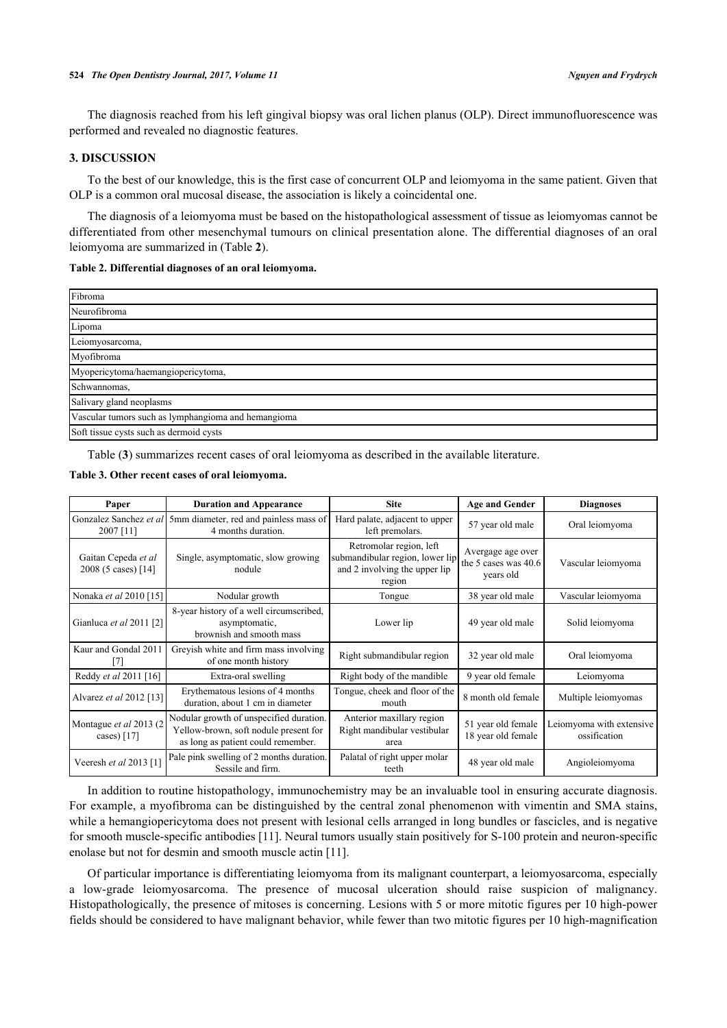The diagnosis reached from his left gingival biopsy was oral lichen planus (OLP). Direct immunofluorescence was performed and revealed no diagnostic features.

# **3. DISCUSSION**

To the best of our knowledge, this is the first case of concurrent OLP and leiomyoma in the same patient. Given that OLP is a common oral mucosal disease, the association is likely a coincidental one.

The diagnosis of a leiomyoma must be based on the histopathological assessment of tissue as leiomyomas cannot be differentiated from other mesenchymal tumours on clinical presentation alone. The differential diagnoses of an oral leiomyoma are summarized in (Table **[2](#page-4-0)**).

#### <span id="page-4-0"></span>**Table 2. Differential diagnoses of an oral leiomyoma.**

| Fibroma                                             |  |  |  |
|-----------------------------------------------------|--|--|--|
| Neurofibroma                                        |  |  |  |
| Lipoma                                              |  |  |  |
| Leiomyosarcoma,                                     |  |  |  |
| Myofibroma                                          |  |  |  |
| Myopericytoma/haemangiopericytoma,                  |  |  |  |
| Schwannomas,                                        |  |  |  |
| Salivary gland neoplasms                            |  |  |  |
| Vascular tumors such as lymphangioma and hemangioma |  |  |  |
| Soft tissue cysts such as dermoid cysts             |  |  |  |

Table (**[3](#page-4-1)**) summarizes recent cases of oral leiomyoma as described in the available literature.

# <span id="page-4-1"></span>**Table 3. Other recent cases of oral leiomyoma.**

| Paper                                      | <b>Duration and Appearance</b>                                                                                         | <b>Site</b>                                                                                           | <b>Age and Gender</b>                                  | <b>Diagnoses</b>                         |
|--------------------------------------------|------------------------------------------------------------------------------------------------------------------------|-------------------------------------------------------------------------------------------------------|--------------------------------------------------------|------------------------------------------|
| Gonzalez Sanchez et al<br>2007 [11]        | 5mm diameter, red and painless mass of<br>4 months duration.                                                           | Hard palate, adjacent to upper<br>left premolars.                                                     | 57 year old male                                       | Oral leiomyoma                           |
| Gaitan Cepeda et al<br>2008 (5 cases) [14] | Single, asymptomatic, slow growing<br>nodule                                                                           | Retromolar region, left<br>submandibular region, lower lip<br>and 2 involving the upper lip<br>region | Avergage age over<br>the 5 cases was 40.6<br>years old | Vascular leiomyoma                       |
| Nonaka et al 2010 [15]                     | Nodular growth                                                                                                         | Tongue                                                                                                | 38 year old male                                       | Vascular leiomyoma                       |
| Gianluca et al 2011 [2]                    | 8-year history of a well circumscribed,<br>asymptomatic,<br>brownish and smooth mass                                   | Lower lip                                                                                             | 49 year old male                                       | Solid leiomyoma                          |
| Kaur and Gondal 2011<br>17                 | Greyish white and firm mass involving<br>of one month history                                                          | Right submandibular region                                                                            | 32 year old male                                       | Oral leiomyoma                           |
| Reddy et al 2011 [16]                      | Extra-oral swelling                                                                                                    | Right body of the mandible                                                                            | 9 year old female                                      | Leiomyoma                                |
| Alvarez et al 2012 [13]                    | Erythematous lesions of 4 months<br>duration, about 1 cm in diameter                                                   | Tongue, cheek and floor of the<br>mouth                                                               | 8 month old female                                     | Multiple leiomyomas                      |
| Montague et al 2013 (2)<br>cases) $[17]$   | Nodular growth of unspecified duration.<br>Yellow-brown, soft nodule present for<br>as long as patient could remember. | Anterior maxillary region<br>Right mandibular vestibular<br>area                                      | 51 year old female<br>18 year old female               | Leiomyoma with extensive<br>ossification |
| Veeresh et al 2013 [1]                     | Pale pink swelling of 2 months duration.<br>Sessile and firm.                                                          | Palatal of right upper molar<br>teeth                                                                 | 48 year old male                                       | Angioleiomyoma                           |

In addition to routine histopathology, immunochemistry may be an invaluable tool in ensuring accurate diagnosis. For example, a myofibroma can be distinguished by the central zonal phenomenon with vimentin and SMA stains, while a hemangiopericytoma does not present with lesional cells arranged in long bundles or fascicles, and is negative for smooth muscle-specific antibodies [\[11](#page-6-2)]. Neural tumors usually stain positively for S-100 protein and neuron-specific enolase but not for desmin and smooth muscle actin [\[11](#page-6-2)].

Of particular importance is differentiating leiomyoma from its malignant counterpart, a leiomyosarcoma, especially a low-grade leiomyosarcoma. The presence of mucosal ulceration should raise suspicion of malignancy. Histopathologically, the presence of mitoses is concerning. Lesions with 5 or more mitotic figures per 10 high-power fields should be considered to have malignant behavior, while fewer than two mitotic figures per 10 high-magnification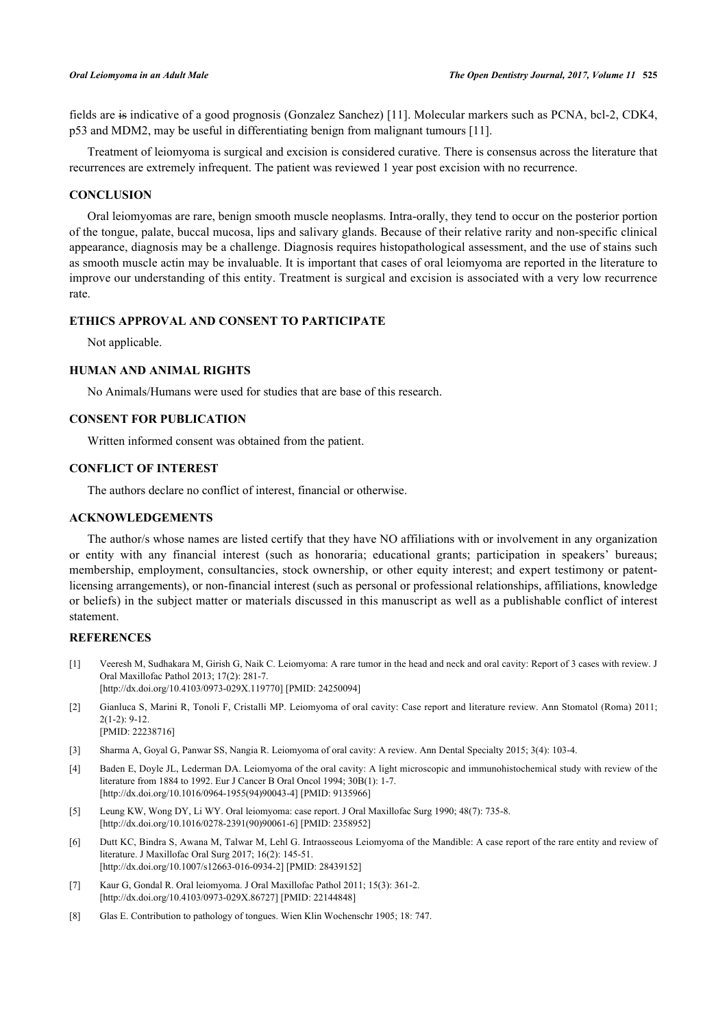fields are is indicative of a good prognosis (Gonzalez Sanchez) [\[11\]](#page-6-2). Molecular markers such as PCNA, bcl-2, CDK4, p53 and MDM2, may be useful in differentiating benign from malignant tumours [\[11](#page-6-2)].

Treatment of leiomyoma is surgical and excision is considered curative. There is consensus across the literature that recurrences are extremely infrequent. The patient was reviewed 1 year post excision with no recurrence.

## **CONCLUSION**

Oral leiomyomas are rare, benign smooth muscle neoplasms. Intra-orally, they tend to occur on the posterior portion of the tongue, palate, buccal mucosa, lips and salivary glands. Because of their relative rarity and non-specific clinical appearance, diagnosis may be a challenge. Diagnosis requires histopathological assessment, and the use of stains such as smooth muscle actin may be invaluable. It is important that cases of oral leiomyoma are reported in the literature to improve our understanding of this entity. Treatment is surgical and excision is associated with a very low recurrence rate.

# **ETHICS APPROVAL AND CONSENT TO PARTICIPATE**

Not applicable.

# **HUMAN AND ANIMAL RIGHTS**

No Animals/Humans were used for studies that are base of this research.

# **CONSENT FOR PUBLICATION**

Written informed consent was obtained from the patient.

# **CONFLICT OF INTEREST**

The authors declare no conflict of interest, financial or otherwise.

# **ACKNOWLEDGEMENTS**

The author/s whose names are listed certify that they have NO affiliations with or involvement in any organization or entity with any financial interest (such as honoraria; educational grants; participation in speakers' bureaus; membership, employment, consultancies, stock ownership, or other equity interest; and expert testimony or patentlicensing arrangements), or non-financial interest (such as personal or professional relationships, affiliations, knowledge or beliefs) in the subject matter or materials discussed in this manuscript as well as a publishable conflict of interest statement.

## **REFERENCES**

- <span id="page-5-0"></span>[1] Veeresh M, Sudhakara M, Girish G, Naik C. Leiomyoma: A rare tumor in the head and neck and oral cavity: Report of 3 cases with review. J Oral Maxillofac Pathol 2013; 17(2): 281-7. [\[http://dx.doi.org/10.4103/0973-029X.119770](http://dx.doi.org/10.4103/0973-029X.119770)] [PMID: [24250094\]](http://www.ncbi.nlm.nih.gov/pubmed/24250094)
- <span id="page-5-1"></span>[2] Gianluca S, Marini R, Tonoli F, Cristalli MP. Leiomyoma of oral cavity: Case report and literature review. Ann Stomatol (Roma) 2011; 2(1-2): 9-12. [PMID: [22238716\]](http://www.ncbi.nlm.nih.gov/pubmed/22238716)
- <span id="page-5-5"></span>[3] Sharma A, Goyal G, Panwar SS, Nangia R. Leiomyoma of oral cavity: A review. Ann Dental Specialty 2015; 3(4): 103-4.
- <span id="page-5-2"></span>[4] Baden E, Doyle JL, Lederman DA. Leiomyoma of the oral cavity: A light microscopic and immunohistochemical study with review of the literature from 1884 to 1992. Eur J Cancer B Oral Oncol 1994; 30B(1): 1-7. [\[http://dx.doi.org/10.1016/0964-1955\(94\)90043-4](http://dx.doi.org/10.1016/0964-1955(94)90043-4)] [PMID: [9135966](http://www.ncbi.nlm.nih.gov/pubmed/9135966)]
- <span id="page-5-3"></span>[5] Leung KW, Wong DY, Li WY. Oral leiomyoma: case report. J Oral Maxillofac Surg 1990; 48(7): 735-8. [\[http://dx.doi.org/10.1016/0278-2391\(90\)90061-6](http://dx.doi.org/10.1016/0278-2391(90)90061-6)] [PMID: [2358952](http://www.ncbi.nlm.nih.gov/pubmed/2358952)]
- <span id="page-5-4"></span>[6] Dutt KC, Bindra S, Awana M, Talwar M, Lehl G. Intraosseous Leiomyoma of the Mandible: A case report of the rare entity and review of literature. J Maxillofac Oral Surg 2017; 16(2): 145-51. [\[http://dx.doi.org/10.1007/s12663-016-0934-2\]](http://dx.doi.org/10.1007/s12663-016-0934-2) [PMID: [28439152](http://www.ncbi.nlm.nih.gov/pubmed/28439152)]
- <span id="page-5-6"></span>[7] Kaur G, Gondal R. Oral leiomyoma. J Oral Maxillofac Pathol 2011; 15(3): 361-2. [\[http://dx.doi.org/10.4103/0973-029X.86727](http://dx.doi.org/10.4103/0973-029X.86727)] [PMID: [22144848\]](http://www.ncbi.nlm.nih.gov/pubmed/22144848)
- <span id="page-5-7"></span>[8] Glas E. Contribution to pathology of tongues. Wien Klin Wochenschr 1905; 18: 747.